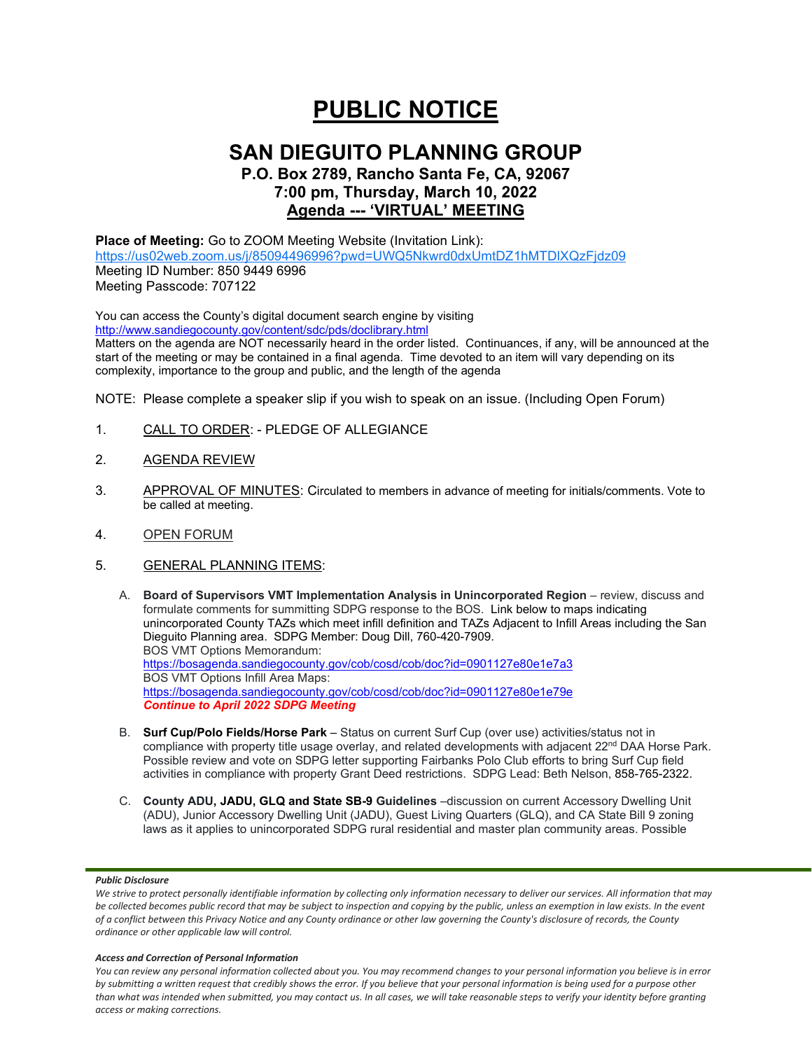# **PUBLIC NOTICE**

### **SAN DIEGUITO PLANNING GROUP P.O. Box 2789, Rancho Santa Fe, CA, 92067 7:00 pm, Thursday, March 10, 2022**

## **Agenda --- 'VIRTUAL' MEETING**

#### **Place of Meeting:** Go to ZOOM Meeting Website (Invitation Link): <https://us02web.zoom.us/j/85094496996?pwd=UWQ5Nkwrd0dxUmtDZ1hMTDlXQzFjdz09> Meeting ID Number: 850 9449 6996 Meeting Passcode: 707122

You can access the County's digital document search engine by visiting <http://www.sandiegocounty.gov/content/sdc/pds/doclibrary.html>

Matters on the agenda are NOT necessarily heard in the order listed. Continuances, if any, will be announced at the start of the meeting or may be contained in a final agenda. Time devoted to an item will vary depending on its complexity, importance to the group and public, and the length of the agenda

NOTE: Please complete a speaker slip if you wish to speak on an issue. (Including Open Forum)

- 1. CALL TO ORDER: PLEDGE OF ALLEGIANCE
- 2. AGENDA REVIEW
- 3. APPROVAL OF MINUTES: Circulated to members in advance of meeting for initials/comments. Vote to be called at meeting.
- 4. OPEN FORUM
- 5. GENERAL PLANNING ITEMS:
	- A. **Board of Supervisors VMT Implementation Analysis in Unincorporated Region** review, discuss and formulate comments for summitting SDPG response to the BOS. Link below to maps indicating unincorporated County TAZs which meet infill definition and TAZs Adjacent to Infill Areas including the San Dieguito Planning area. SDPG Member: Doug Dill, 760-420-7909. BOS VMT Options Memorandum: <https://bosagenda.sandiegocounty.gov/cob/cosd/cob/doc?id=0901127e80e1e7a3> BOS VMT Options Infill Area Maps: <https://bosagenda.sandiegocounty.gov/cob/cosd/cob/doc?id=0901127e80e1e79e> *Continue to April 2022 SDPG Meeting*
	- B. **Surf Cup/Polo Fields/Horse Park** Status on current Surf Cup (over use) activities/status not in compliance with property title usage overlay, and related developments with adjacent 22<sup>nd</sup> DAA Horse Park. Possible review and vote on SDPG letter supporting Fairbanks Polo Club efforts to bring Surf Cup field activities in compliance with property Grant Deed restrictions. SDPG Lead: Beth Nelson, 858-765-2322.
	- C. **County ADU, JADU, GLQ and State SB-9 Guidelines** –discussion on current Accessory Dwelling Unit (ADU), Junior Accessory Dwelling Unit (JADU), Guest Living Quarters (GLQ), and CA State Bill 9 zoning laws as it applies to unincorporated SDPG rural residential and master plan community areas. Possible

#### *Public Disclosure*

#### *Access and Correction of Personal Information*

*You can review any personal information collected about you. You may recommend changes to your personal information you believe is in error by submitting a written request that credibly shows the error. If you believe that your personal information is being used for a purpose other than what was intended when submitted, you may contact us. In all cases, we will take reasonable steps to verify your identity before granting access or making corrections.*

We strive to protect personally identifiable information by collecting only information necessary to deliver our services. All information that may *be collected becomes public record that may be subject to inspection and copying by the public, unless an exemption in law exists. In the event of a conflict between this Privacy Notice and any County ordinance or other law governing the County's disclosure of records, the County ordinance or other applicable law will control.*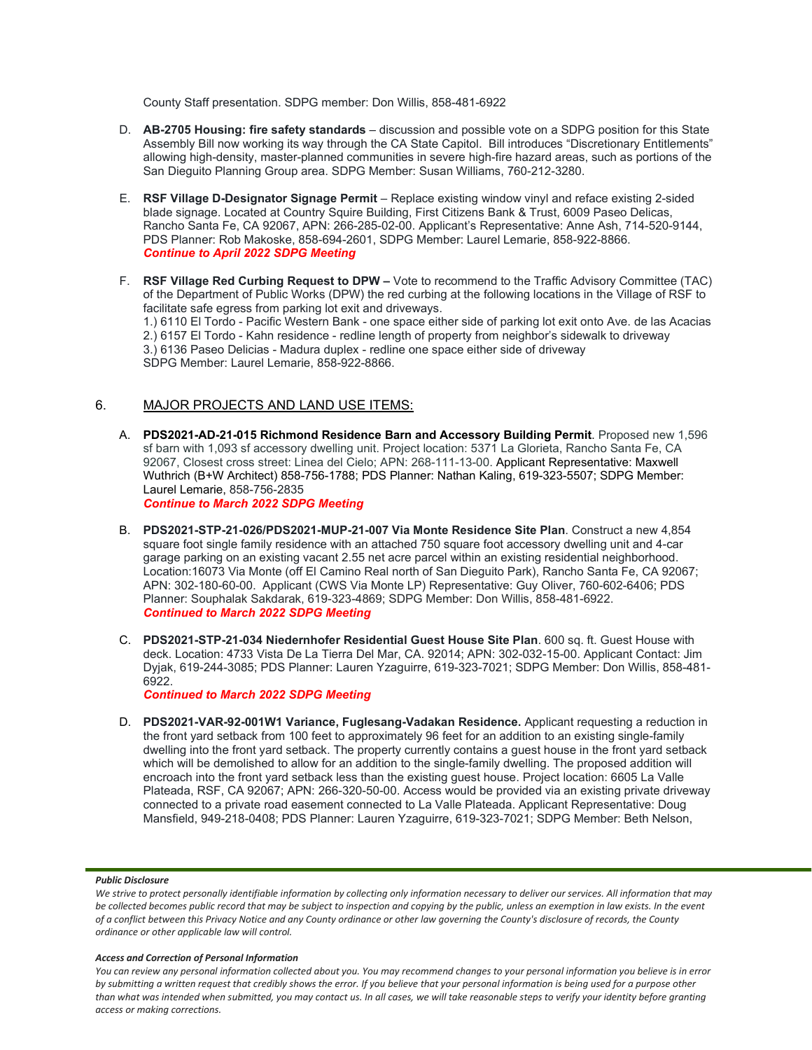County Staff presentation. SDPG member: Don Willis, 858-481-6922

- D. **AB-2705 Housing: fire safety standards** discussion and possible vote on a SDPG position for this State Assembly Bill now working its way through the CA State Capitol. Bill introduces "Discretionary Entitlements" allowing high-density, master-planned communities in severe high-fire hazard areas, such as portions of the San Dieguito Planning Group area. SDPG Member: Susan Williams, 760-212-3280.
- E. **RSF Village D-Designator Signage Permit**  Replace existing window vinyl and reface existing 2-sided blade signage. Located at Country Squire Building, First Citizens Bank & Trust, 6009 Paseo Delicas, Rancho Santa Fe, CA 92067, APN: 266-285-02-00. Applicant's Representative: Anne Ash, 714-520-9144, PDS Planner: Rob Makoske, 858-694-2601, SDPG Member: Laurel Lemarie, 858-922-8866. *Continue to April 2022 SDPG Meeting*
- F. **RSF Village Red Curbing Request to DPW –** Vote to recommend to the Traffic Advisory Committee (TAC) of the Department of Public Works (DPW) the red curbing at the following locations in the Village of RSF to facilitate safe egress from parking lot exit and driveways.

1.) 6110 El Tordo - Pacific Western Bank - one space either side of parking lot exit onto Ave. de las Acacias 2.) 6157 El Tordo - Kahn residence - redline length of property from neighbor's sidewalk to driveway 3.) 6136 Paseo Delicias - Madura duplex - redline one space either side of driveway SDPG Member: Laurel Lemarie, 858-922-8866.

#### 6. MAJOR PROJECTS AND LAND USE ITEMS:

A. **PDS2021-AD-21-015 Richmond Residence Barn and Accessory Building Permit**. Proposed new 1,596 sf barn with 1,093 sf accessory dwelling unit. Project location: 5371 La Glorieta, Rancho Santa Fe, CA 92067, Closest cross street: Linea del Cielo; APN: 268-111-13-00. Applicant Representative: Maxwell Wuthrich (B+W Architect) 858-756-1788; PDS Planner: Nathan Kaling, 619-323-5507; SDPG Member: Laurel Lemarie, 858-756-2835

*Continue to March 2022 SDPG Meeting*

- B. **PDS2021-STP-21-026/PDS2021-MUP-21-007 Via Monte Residence Site Plan**. Construct a new 4,854 square foot single family residence with an attached 750 square foot accessory dwelling unit and 4-car garage parking on an existing vacant 2.55 net acre parcel within an existing residential neighborhood. Location:16073 Via Monte (off El Camino Real north of San Dieguito Park), Rancho Santa Fe, CA 92067; APN: 302-180-60-00. Applicant (CWS Via Monte LP) Representative: Guy Oliver, 760-602-6406; PDS Planner: Souphalak Sakdarak, 619-323-4869; SDPG Member: Don Willis, 858-481-6922. *Continued to March 2022 SDPG Meeting*
- C. **PDS2021-STP-21-034 Niedernhofer Residential Guest House Site Plan**. 600 sq. ft. Guest House with deck. Location: 4733 Vista De La Tierra Del Mar, CA. 92014; APN: 302-032-15-00. Applicant Contact: Jim Dyjak, 619-244-3085; PDS Planner: Lauren Yzaguirre, 619-323-7021; SDPG Member: Don Willis, 858-481- 6922.

*Continued to March 2022 SDPG Meeting*

D. **PDS2021-VAR-92-001W1 Variance, Fuglesang-Vadakan Residence.** Applicant requesting a reduction in the front yard setback from 100 feet to approximately 96 feet for an addition to an existing single-family dwelling into the front yard setback. The property currently contains a guest house in the front yard setback which will be demolished to allow for an addition to the single-family dwelling. The proposed addition will encroach into the front yard setback less than the existing guest house. Project location: 6605 La Valle Plateada, RSF, CA 92067; APN: 266-320-50-00. Access would be provided via an existing private driveway connected to a private road easement connected to La Valle Plateada. Applicant Representative: Doug Mansfield, 949-218-0408; PDS Planner: Lauren Yzaguirre, 619-323-7021; SDPG Member: Beth Nelson,

#### *Public Disclosure*

#### *Access and Correction of Personal Information*

*You can review any personal information collected about you. You may recommend changes to your personal information you believe is in error by submitting a written request that credibly shows the error. If you believe that your personal information is being used for a purpose other than what was intended when submitted, you may contact us. In all cases, we will take reasonable steps to verify your identity before granting access or making corrections.*

We strive to protect personally identifiable information by collecting only information necessary to deliver our services. All information that may *be collected becomes public record that may be subject to inspection and copying by the public, unless an exemption in law exists. In the event of a conflict between this Privacy Notice and any County ordinance or other law governing the County's disclosure of records, the County ordinance or other applicable law will control.*